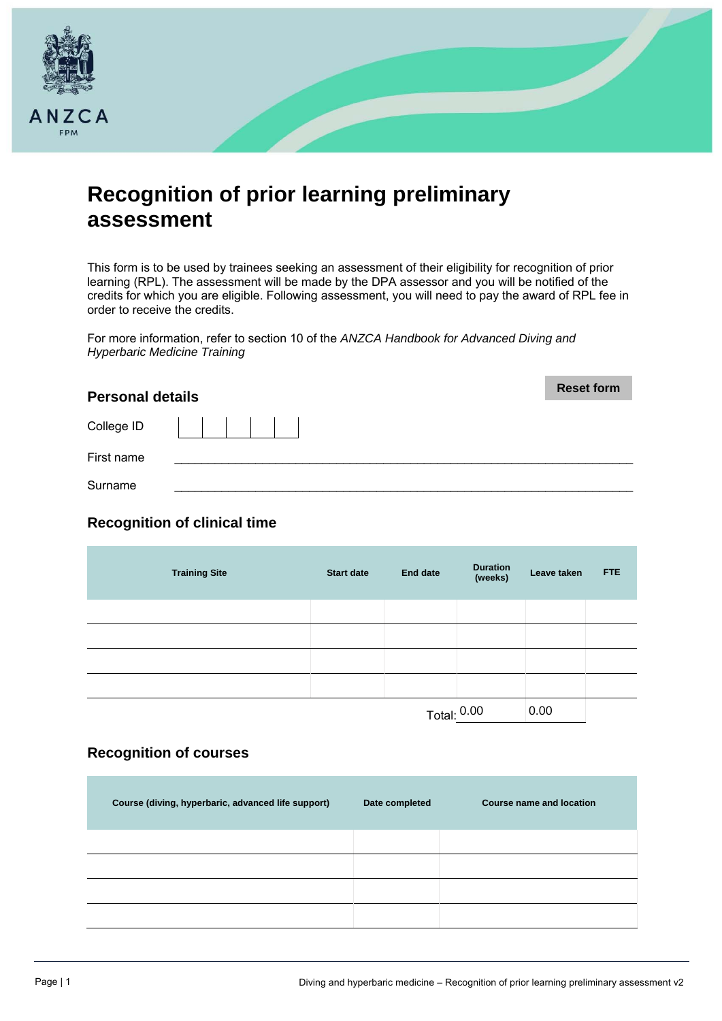

# **Recognition of prior learning preliminary assessment**

This form is to be used by trainees seeking an assessment of their eligibility for recognition of prior learning (RPL). The assessment will be made by the DPA assessor and you will be notified of the credits for which you are eligible. Following assessment, you will need to pay the award of RPL fee in order to receive the credits.

For more information, refer to section 10 of the *ANZCA Handbook for Advanced Diving and Hyperbaric Medicine Training*

| <b>Personal details</b> | <b>Reset form</b> |
|-------------------------|-------------------|
| College ID              |                   |
| First name              |                   |
| Surname                 |                   |

## **Recognition of clinical time**

| <b>Training Site</b> | <b>Start date</b> | <b>End date</b> | <b>Duration</b><br>(weeks) | Leave taken | <b>FTE</b> |
|----------------------|-------------------|-----------------|----------------------------|-------------|------------|
|                      |                   |                 |                            |             |            |
|                      |                   |                 |                            |             |            |
|                      |                   |                 |                            |             |            |
|                      |                   |                 |                            |             |            |
|                      |                   | Total: 0.00     |                            | 0.00        |            |

## **Recognition of courses**

| Course (diving, hyperbaric, advanced life support) | Date completed | Course name and location |
|----------------------------------------------------|----------------|--------------------------|
|                                                    |                |                          |
|                                                    |                |                          |
|                                                    |                |                          |
|                                                    |                |                          |